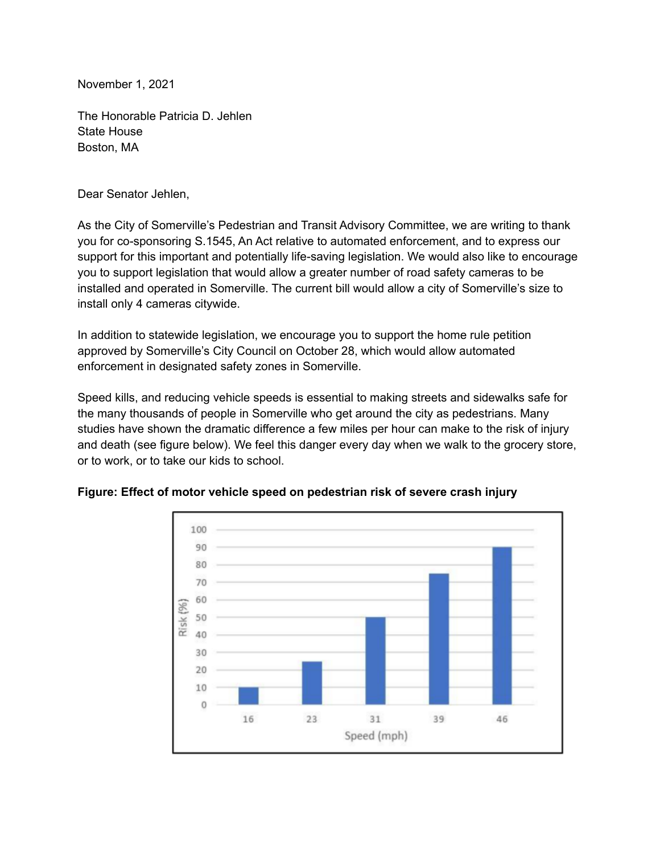November 1, 2021

The Honorable Patricia D. Jehlen State House Boston, MA

Dear Senator Jehlen,

As the City of Somerville's Pedestrian and Transit Advisory Committee, we are writing to thank you for co-sponsoring S.1545, An Act relative to automated enforcement, and to express our support for this important and potentially life-saving legislation. We would also like to encourage you to support legislation that would allow a greater number of road safety cameras to be installed and operated in Somerville. The current bill would allow a city of Somerville's size to install only 4 cameras citywide.

In addition to statewide legislation, we encourage you to support the home rule petition approved by Somerville's City Council on October 28, which would allow automated enforcement in designated safety zones in Somerville.

Speed kills, and reducing vehicle speeds is essential to making streets and sidewalks safe for the many thousands of people in Somerville who get around the city as pedestrians. Many studies have shown the dramatic difference a few miles per hour can make to the risk of injury and death (see figure below). We feel this danger every day when we walk to the grocery store, or to work, or to take our kids to school.



**Figure: Effect of motor vehicle speed on pedestrian risk of severe crash injury**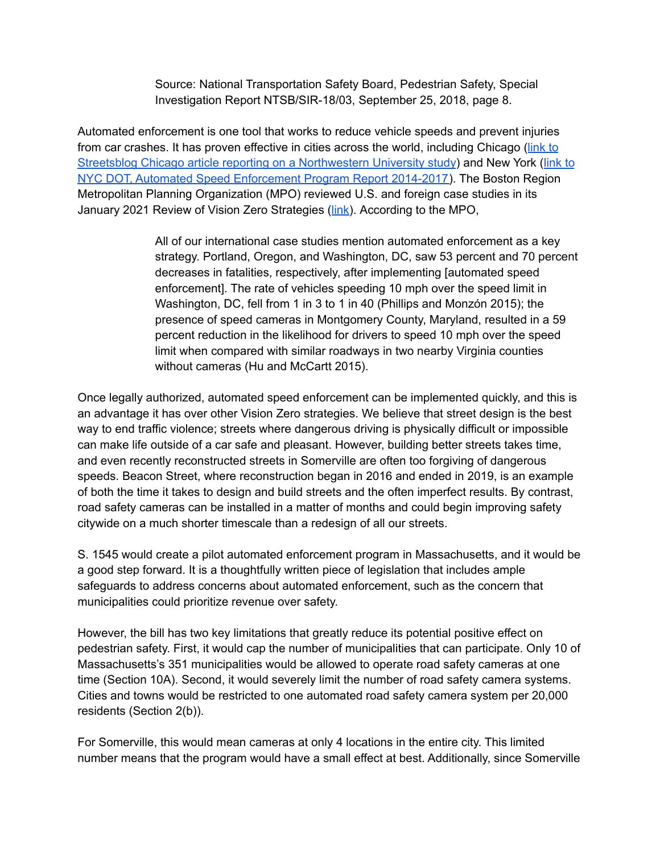Source: National Transportation Safety Board, Pedestrian Safety, Special Investigation Report NTSB/SIR-18/03, September 25, 2018, page 8.

Automated enforcement is one tool that works to reduce vehicle speeds and prevent injuries from car crashes. It has proven effective in cities across the world, including Chicago ([link](https://chi.streetsblog.org/2017/03/20/study-red-light-cams-improve-safety-have-spillover-effect-on-other-intersections/) to Streetsblog Chicago article reporting on a [Northwestern](https://chi.streetsblog.org/2017/03/20/study-red-light-cams-improve-safety-have-spillover-effect-on-other-intersections/) University study) and New York ([link](http://www.nyc.gov/html/dot/downloads/pdf/speed-camera-report-june2018.pdf) to NYC DOT, Automated Speed [Enforcement](http://www.nyc.gov/html/dot/downloads/pdf/speed-camera-report-june2018.pdf) Program Report 2014-2017). The Boston Region Metropolitan Planning Organization (MPO) reviewed U.S. and foreign case studies in its January 2021 Review of Vision Zero Strategies ([link](https://www.ctps.org/data/html/studies/bikeped/review-of-vision-zero-strategies/Review-of-Vision-Zero-Strategies.html)). According to the MPO,

> All of our international case studies mention automated enforcement as a key strategy. Portland, Oregon, and Washington, DC, saw 53 percent and 70 percent decreases in fatalities, respectively, after implementing [automated speed enforcement]. The rate of vehicles speeding 10 mph over the speed limit in Washington, DC, fell from 1 in 3 to 1 in 40 (Phillips and Monzón 2015); the presence of speed cameras in Montgomery County, Maryland, resulted in a 59 percent reduction in the likelihood for drivers to speed 10 mph over the speed limit when compared with similar roadways in two nearby Virginia counties without cameras (Hu and McCartt 2015).

Once legally authorized, automated speed enforcement can be implemented quickly, and this is an advantage it has over other Vision Zero strategies. We believe that street design is the best way to end traffic violence; streets where dangerous driving is physically difficult or impossible can make life outside of a car safe and pleasant. However, building better streets takes time, and even recently reconstructed streets in Somerville are often too forgiving of dangerous speeds. Beacon Street, where reconstruction began in 2016 and ended in 2019, is an example of both the time it takes to design and build streets and the often imperfect results. By contrast, road safety cameras can be installed in a matter of months and could begin improving safety citywide on a much shorter timescale than a redesign of all our streets.

S. 1545 would create a pilot automated enforcement program in Massachusetts, and it would be a good step forward. It is a thoughtfully written piece of legislation that includes ample safeguards to address concerns about automated enforcement, such as the concern that municipalities could prioritize revenue over safety.

However, the bill has two key limitations that greatly reduce its potential positive effect on pedestrian safety. First, it would cap the number of municipalities that can participate. Only 10 of Massachusetts's 351 municipalities would be allowed to operate road safety cameras at one time (Section 10A). Second, it would severely limit the number of road safety camera systems. Cities and towns would be restricted to one automated road safety camera system per 20,000 residents (Section 2(b)).

For Somerville, this would mean cameras at only 4 locations in the entire city. This limited number means that the program would have a small effect at best. Additionally, since Somerville